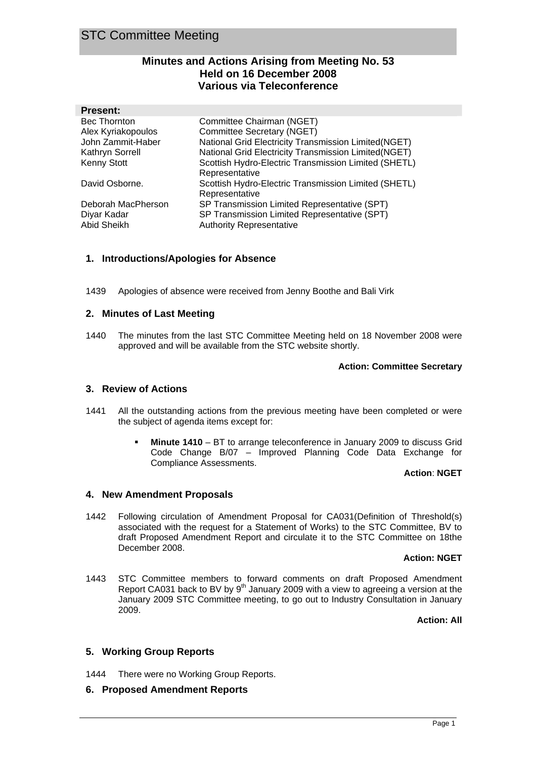# **Minutes and Actions Arising from Meeting No. 53 Held on 16 December 2008 Various via Teleconference**

| <b>Present:</b>        |                                                      |
|------------------------|------------------------------------------------------|
| <b>Bec Thornton</b>    | Committee Chairman (NGET)                            |
| Alex Kyriakopoulos     | Committee Secretary (NGET)                           |
| John Zammit-Haber      | National Grid Electricity Transmission Limited(NGET) |
| <b>Kathryn Sorrell</b> | National Grid Electricity Transmission Limited(NGET) |
| <b>Kenny Stott</b>     | Scottish Hydro-Electric Transmission Limited (SHETL) |
|                        | Representative                                       |
| David Osborne.         | Scottish Hydro-Electric Transmission Limited (SHETL) |
|                        | Representative                                       |
| Deborah MacPherson     | SP Transmission Limited Representative (SPT)         |
| Diyar Kadar            | SP Transmission Limited Representative (SPT)         |
| Abid Sheikh            | <b>Authority Representative</b>                      |

# **1. Introductions/Apologies for Absence**

1439 Apologies of absence were received from Jenny Boothe and Bali Virk

#### **2. Minutes of Last Meeting**

1440 The minutes from the last STC Committee Meeting held on 18 November 2008 were approved and will be available from the STC website shortly.

#### **Action: Committee Secretary**

## **3. Review of Actions**

- 1441 All the outstanding actions from the previous meeting have been completed or were the subject of agenda items except for:
	- **Minute 1410**  BT to arrange teleconference in January 2009 to discuss Grid Code Change B/07 – Improved Planning Code Data Exchange for Compliance Assessments.

#### **Action**: **NGET**

## **4. New Amendment Proposals**

1442 Following circulation of Amendment Proposal for CA031(Definition of Threshold(s) associated with the request for a Statement of Works) to the STC Committee, BV to draft Proposed Amendment Report and circulate it to the STC Committee on 18the December 2008.

#### **Action: NGET**

1443 STC Committee members to forward comments on draft Proposed Amendment Report CA031 back to BV by  $9<sup>th</sup>$  January 2009 with a view to agreeing a version at the January 2009 STC Committee meeting, to go out to Industry Consultation in January 2009.

**Action: All**

## **5. Working Group Reports**

1444 There were no Working Group Reports.

## **6. Proposed Amendment Reports**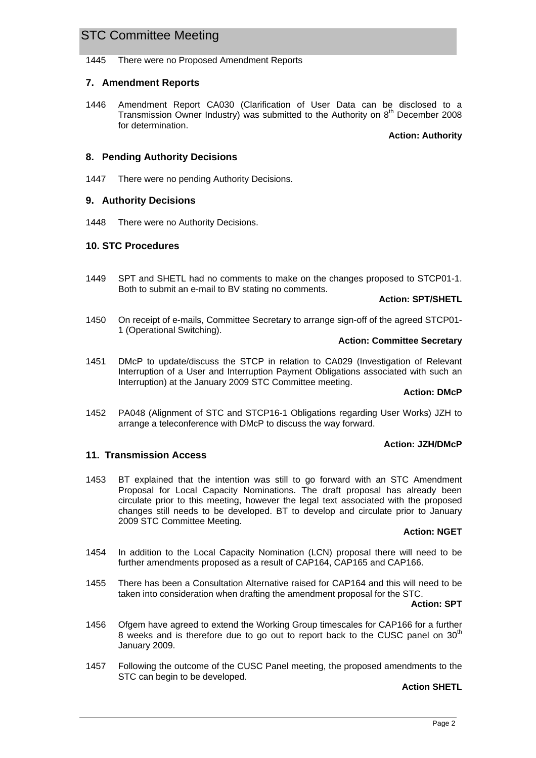1445 There were no Proposed Amendment Reports

# **7. Amendment Reports**

1446 Amendment Report CA030 (Clarification of User Data can be disclosed to a Transmission Owner Industry) was submitted to the Authority on  $8<sup>th</sup>$  December 2008 for determination.

#### **Action: Authority**

# **8. Pending Authority Decisions**

1447 There were no pending Authority Decisions.

## **9. Authority Decisions**

1448 There were no Authority Decisions.

## **10. STC Procedures**

1449 SPT and SHETL had no comments to make on the changes proposed to STCP01-1. Both to submit an e-mail to BV stating no comments.

#### **Action: SPT/SHETL**

1450 On receipt of e-mails, Committee Secretary to arrange sign-off of the agreed STCP01- 1 (Operational Switching).

#### **Action: Committee Secretary**

1451 DMcP to update/discuss the STCP in relation to CA029 (Investigation of Relevant Interruption of a User and Interruption Payment Obligations associated with such an Interruption) at the January 2009 STC Committee meeting.

#### **Action: DMcP**

1452 PA048 (Alignment of STC and STCP16-1 Obligations regarding User Works) JZH to arrange a teleconference with DMcP to discuss the way forward.

## **Action: JZH/DMcP**

## **11. Transmission Access**

1453 BT explained that the intention was still to go forward with an STC Amendment Proposal for Local Capacity Nominations. The draft proposal has already been circulate prior to this meeting, however the legal text associated with the proposed changes still needs to be developed. BT to develop and circulate prior to January 2009 STC Committee Meeting.

## **Action: NGET**

- 1454 In addition to the Local Capacity Nomination (LCN) proposal there will need to be further amendments proposed as a result of CAP164, CAP165 and CAP166.
- 1455 There has been a Consultation Alternative raised for CAP164 and this will need to be taken into consideration when drafting the amendment proposal for the STC.

#### **Action: SPT**

- 1456 Ofgem have agreed to extend the Working Group timescales for CAP166 for a further 8 weeks and is therefore due to go out to report back to the CUSC panel on 30<sup>th</sup> January 2009.
- 1457 Following the outcome of the CUSC Panel meeting, the proposed amendments to the STC can begin to be developed.

#### **Action SHETL**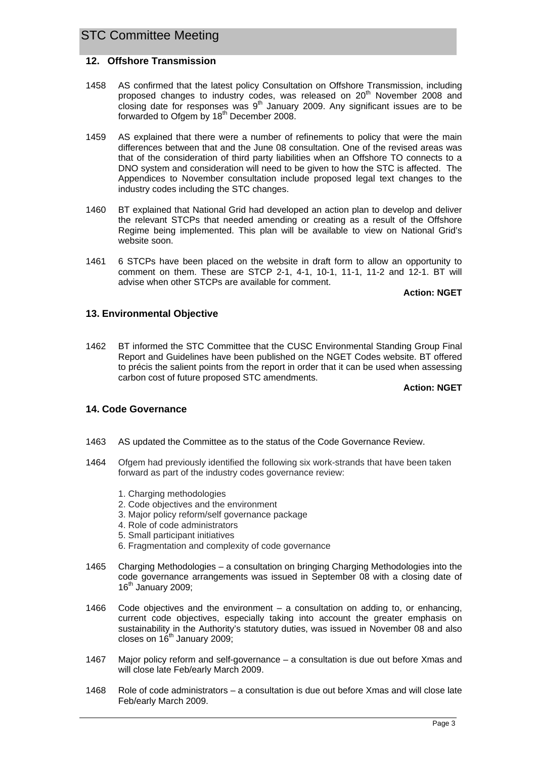## **12. Offshore Transmission**

- 1458 AS confirmed that the latest policy Consultation on Offshore Transmission, including proposed changes to industry codes, was released on 20<sup>th</sup> November 2008 and closing date for responses was  $9<sup>th</sup>$  January 2009. Any significant issues are to be forwarded to Ofgem by 18<sup>th</sup> December 2008.
- 1459 AS explained that there were a number of refinements to policy that were the main differences between that and the June 08 consultation. One of the revised areas was that of the consideration of third party liabilities when an Offshore TO connects to a DNO system and consideration will need to be given to how the STC is affected. The Appendices to November consultation include proposed legal text changes to the industry codes including the STC changes.
- 1460 BT explained that National Grid had developed an action plan to develop and deliver the relevant STCPs that needed amending or creating as a result of the Offshore Regime being implemented. This plan will be available to view on National Grid's website soon.
- 1461 6 STCPs have been placed on the website in draft form to allow an opportunity to comment on them. These are STCP 2-1, 4-1, 10-1, 11-1, 11-2 and 12-1. BT will advise when other STCPs are available for comment.

**Action: NGET**

# **13. Environmental Objective**

1462 BT informed the STC Committee that the CUSC Environmental Standing Group Final Report and Guidelines have been published on the NGET Codes website. BT offered to précis the salient points from the report in order that it can be used when assessing carbon cost of future proposed STC amendments.

#### **Action: NGET**

# **14. Code Governance**

- 1463 AS updated the Committee as to the status of the Code Governance Review.
- 1464 Ofgem had previously identified the following six work-strands that have been taken forward as part of the industry codes governance review:
	- 1. Charging methodologies
	- 2. Code objectives and the environment
	- 3. Major policy reform/self governance package
	- 4. Role of code administrators
	- 5. Small participant initiatives
	- 6. Fragmentation and complexity of code governance
- 1465 Charging Methodologies a consultation on bringing Charging Methodologies into the code governance arrangements was issued in September 08 with a closing date of  $16<sup>th</sup>$  January 2009:
- 1466 Code objectives and the environment a consultation on adding to, or enhancing, current code objectives, especially taking into account the greater emphasis on sustainability in the Authority's statutory duties, was issued in November 08 and also closes on  $16<sup>th</sup>$  January 2009;
- 1467 Major policy reform and self-governance a consultation is due out before Xmas and will close late Feb/early March 2009.
- 1468 Role of code administrators a consultation is due out before Xmas and will close late Feb/early March 2009.